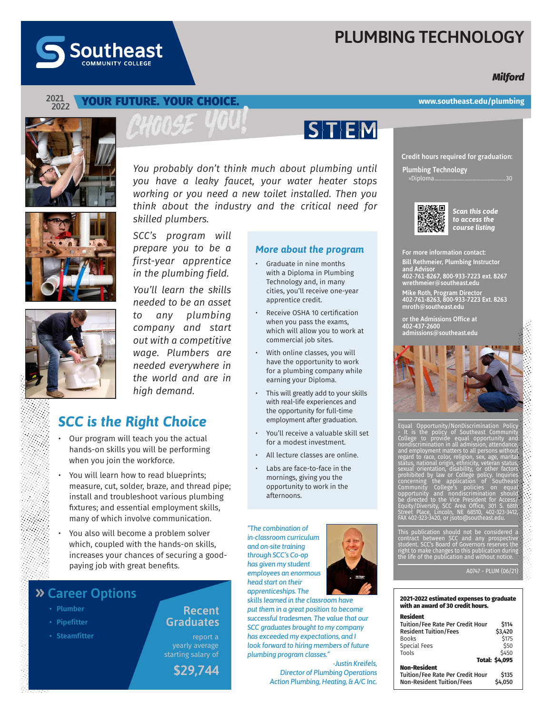# **PLUMBING TECHNOLOGY**

## *Milford*



#### **2021 2022**

### YOUR FUTURE. YOUR CHOICE.





#### *SCC's program will prepare you to be a first-year apprentice More about the program*

*in the plumbing field. You'll learn the skills needed to be an asset to any plumbing company and start out with a competitive* 

- Graduate in nine months with a Diploma in Plumbing Technology and, in many cities, you'll receive one-year apprentice credit.
- Receive OSHA 10 certification when you pass the exams, which will allow you to work at commercial job sites.
- With online classes, you will have the opportunity to work for a plumbing company while earning your Diploma.
- This will greatly add to your skills with real-life experiences and the opportunity for full-time employment after graduation.
- You'll receive a valuable skill set for a modest investment.
- All lecture classes are online.
- Labs are face-to-face in the mornings, giving you the opportunity to work in the afternoons.

*"The combination of in-classroom curriculum and on-site training through SCC's Co-op has given my student employees an enormous head start on their apprenticeships. The* 

*skills learned in the classroom have put them in a great position to become successful tradesmen. The value that our SCC graduates brought to my company has exceeded my expectations, and I look forward to hiring members of future plumbing program classes."*

*-Justin Kreifels, Director of Plumbing Operations Action Plumbing, Heating, & A/C Inc.*

**www.southeast.edu/plumbing**

**Credit hours required for graduation:**

**Plumbing Technology** »Diploma....................................................30



*Scan this code to access the course listing*

For more information contact:

Bill Rethmeier, Plumbing Instructor and Advisor 402-761-8267, 800-933-7223 ext. 8267 wrethmeier@southeast.edu

Mike Roth, Program Director 402-761-8263, 800-933-7223 Ext. 8263 mroth@southeast.edu

or the Admissions Office at 402-437-2600 admissions@southeast.edu



Equal Opportunity/NonDiscrimination Policy - It is the policy of Southeast Community College to provide equal opportunity and nondiscrimination in all admission, attendance, and employment matters to all persons without regard to race, color, religion, sex, age, marital status, national origin, ethnicity, veteran status, sexual orientation, disability, or other factors prohibited by law or College policy. Inquiries concerning the application of Southeast Community College's policies on equal opportunity and nondiscrimination should be directed to the Vice President for Access/<br>Equity/Diversity, SCC Area Office, 301 S. 68th<br>Street Place, Lincoln, NE 68510, 402-323-3412,<br>FAX 402-323-3420, or jsoto@southeast.edu.

This publication should not be considered a<br>contract between SCC and any prospective<br>student. SCC's Board of Governors reserves the<br>right to make changes to this publication during<br>the life of the publication and without n

A0747 - PLUM (06/21)

#### 2021-2022 estimated expenses to graduate with an award of 30 credit hours.

| Resident                                |                |
|-----------------------------------------|----------------|
| <b>Tuition/Fee Rate Per Credit Hour</b> | \$114          |
| <b>Resident Tuition/Fees</b>            | \$3.420        |
| <b>Books</b>                            | \$175          |
| <b>Special Fees</b>                     | \$50           |
| Tools                                   | \$450          |
|                                         | Total: \$4,095 |
| <b>Non-Resident</b>                     |                |
| <b>Tuition/Fee Rate Per Credit Hour</b> | \$135          |
| <b>Non-Resident Tuition/Fees</b>        | \$4.050        |



*wage. Plumbers are needed everywhere in the world and are in high demand.*

## *SCC is the Right Choice*

- Our program will teach you the actual hands-on skills you will be performing when you join the workforce.
- You will learn how to read blueprints; measure, cut, solder, braze, and thread pipe; install and troubleshoot various plumbing fixtures; and essential employment skills, many of which involve communication.
- You also will become a problem solver which, coupled with the hands-on skills, increases your chances of securing a goodpaying job with great benefits.

## **» Career Options**

- 
- Pipefitter
- 

**Graduates** 

report a yearly average starting salary of

**\$29,744**

**Recent**